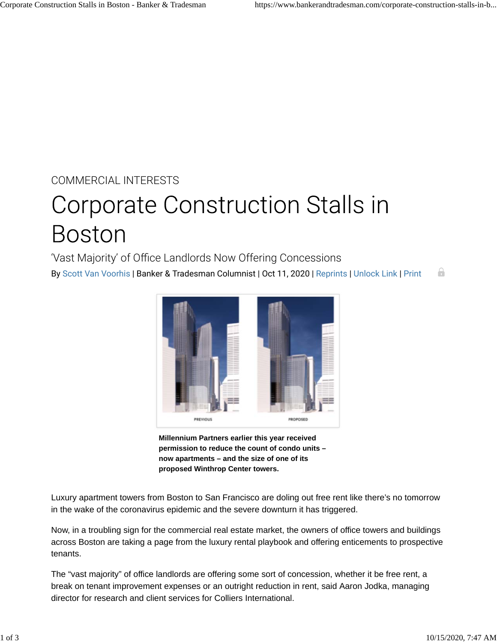COMMERCIAL INTERESTS

## **Corporate Construction Stalls in Boston**

'Vast Majority' of Office Landlords Now Offering Concessions

By Scott Van Voorhis | Banker & Tradesman Columnist | Oct 11, 2020 | Reprints | Unlock Link | Print ۵



**Millennium Partners earlier this year received permission to reduce the count of condo units – now apartments – and the size of one of its proposed Winthrop Center towers.**

Luxury apartment towers from Boston to San Francisco are doling out free rent like there's no tomorrow in the wake of the coronavirus epidemic and the severe downturn it has triggered.

Now, in a troubling sign for the commercial real estate market, the owners of office towers and buildings across Boston are taking a page from the luxury rental playbook and offering enticements to prospective tenants.

The "vast majority" of office landlords are offering some sort of concession, whether it be free rent, a break on tenant improvement expenses or an outright reduction in rent, said Aaron Jodka, managing director for research and client services for Colliers International.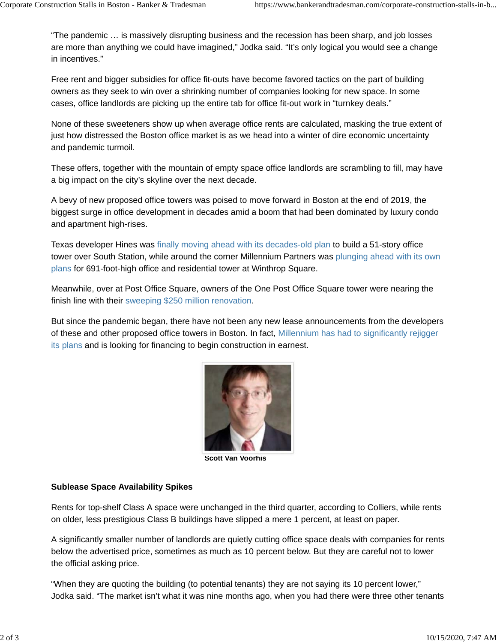"The pandemic … is massively disrupting business and the recession has been sharp, and job losses are more than anything we could have imagined," Jodka said. "It's only logical you would see a change in incentives."

Free rent and bigger subsidies for office fit-outs have become favored tactics on the part of building owners as they seek to win over a shrinking number of companies looking for new space. In some cases, office landlords are picking up the entire tab for office fit-out work in "turnkey deals."

None of these sweeteners show up when average office rents are calculated, masking the true extent of just how distressed the Boston office market is as we head into a winter of dire economic uncertainty and pandemic turmoil.

These offers, together with the mountain of empty space office landlords are scrambling to fill, may have a big impact on the city's skyline over the next decade.

A bevy of new proposed office towers was poised to move forward in Boston at the end of 2019, the biggest surge in office development in decades amid a boom that had been dominated by luxury condo and apartment high-rises.

Texas developer Hines was finally moving ahead with its decades-old plan to build a 51-story office tower over South Station, while around the corner Millennium Partners was plunging ahead with its own plans for 691-foot-high office and residential tower at Winthrop Square.

Meanwhile, over at Post Office Square, owners of the One Post Office Square tower were nearing the finish line with their sweeping \$250 million renovation.

But since the pandemic began, there have not been any new lease announcements from the developers of these and other proposed office towers in Boston. In fact, Millennium has had to significantly rejigger its plans and is looking for financing to begin construction in earnest.



**Scott Van Voorhis**

## **Sublease Space Availability Spikes**

Rents for top-shelf Class A space were unchanged in the third quarter, according to Colliers, while rents on older, less prestigious Class B buildings have slipped a mere 1 percent, at least on paper.

A significantly smaller number of landlords are quietly cutting office space deals with companies for rents below the advertised price, sometimes as much as 10 percent below. But they are careful not to lower the official asking price.

"When they are quoting the building (to potential tenants) they are not saying its 10 percent lower," Jodka said. "The market isn't what it was nine months ago, when you had there were three other tenants